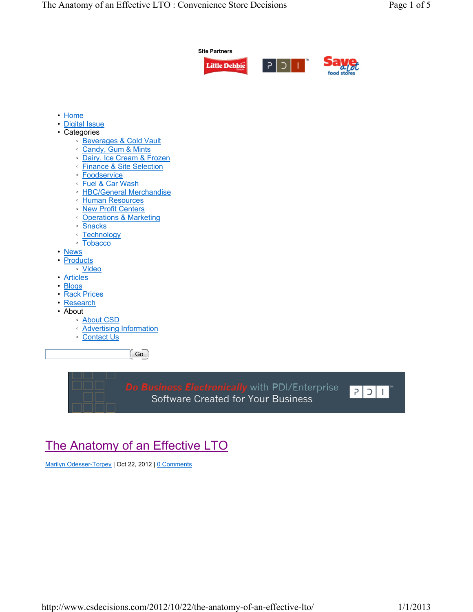

 $\lceil$  Go $\rceil$ 

Do Business Electronically with PDI/Enterprise Software Created for Your Business



# The Anatomy of an Effective LTO

Marilyn Odesser-Torpey | Oct 22, 2012 | 0 Comments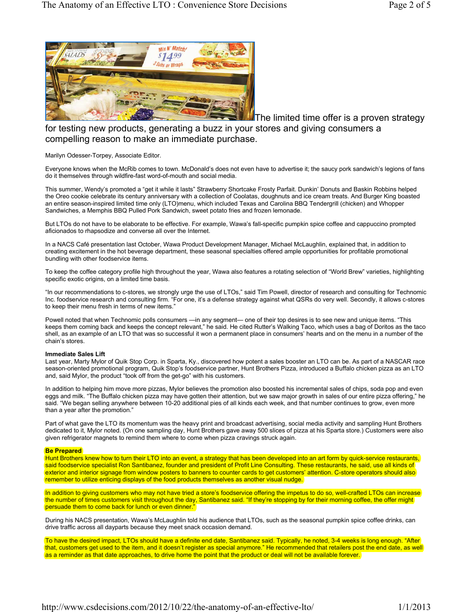

**The limited time offer is a proven strategy** 

for testing new products, generating a buzz in your stores and giving consumers a compelling reason to make an immediate purchase.

Marilyn Odesser-Torpey, Associate Editor.

Everyone knows when the McRib comes to town. McDonald's does not even have to advertise it; the saucy pork sandwich's legions of fans do it themselves through wildfire-fast word-of-mouth and social media.

This summer, Wendy's promoted a "get it while it lasts" Strawberry Shortcake Frosty Parfait. Dunkin' Donuts and Baskin Robbins helped the Oreo cookie celebrate its century anniversary with a collection of Coolatas, doughnuts and ice cream treats. And Burger King boasted an entire season-inspired limited time only (LTO)menu, which included Texas and Carolina BBQ Tendergrill (chicken) and Whopper Sandwiches, a Memphis BBQ Pulled Pork Sandwich, sweet potato fries and frozen lemonade.

But LTOs do not have to be elaborate to be effective. For example, Wawa's fall-specific pumpkin spice coffee and cappuccino prompted aficionados to rhapsodize and converse all over the Internet.

In a NACS Café presentation last October, Wawa Product Development Manager, Michael McLaughlin, explained that, in addition to creating excitement in the hot beverage department, these seasonal specialties offered ample opportunities for profitable promotional bundling with other foodservice items.

To keep the coffee category profile high throughout the year, Wawa also features a rotating selection of "World Brew" varieties, highlighting specific exotic origins, on a limited time basis.

"In our recommendations to c-stores, we strongly urge the use of LTOs," said Tim Powell, director of research and consulting for Technomic Inc. foodservice research and consulting firm. "For one, it's a defense strategy against what QSRs do very well. Secondly, it allows c-stores to keep their menu fresh in terms of new items."

Powell noted that when Technomic polls consumers —in any segment— one of their top desires is to see new and unique items. "This keeps them coming back and keeps the concept relevant," he said. He cited Rutter's Walking Taco, which uses a bag of Doritos as the taco shell, as an example of an LTO that was so successful it won a permanent place in consumers' hearts and on the menu in a number of the chain's stores.

### **Immediate Sales Lift**

Last year, Marty Mylor of Quik Stop Corp. in Sparta, Ky., discovered how potent a sales booster an LTO can be. As part of a NASCAR race season-oriented promotional program, Quik Stop's foodservice partner, Hunt Brothers Pizza, introduced a Buffalo chicken pizza as an LTO and, said Mylor, the product "took off from the get-go" with his customers.

In addition to helping him move more pizzas, Mylor believes the promotion also boosted his incremental sales of chips, soda pop and even eggs and milk. "The Buffalo chicken pizza may have gotten their attention, but we saw major growth in sales of our entire pizza offering," he said. "We began selling anywhere between 10-20 additional pies of all kinds each week, and that number continues to grow, even more than a year after the promotion."

Part of what gave the LTO its momentum was the heavy print and broadcast advertising, social media activity and sampling Hunt Brothers dedicated to it, Mylor noted. (On one sampling day, Hunt Brothers gave away 500 slices of pizza at his Sparta store.) Customers were also given refrigerator magnets to remind them where to come when pizza cravings struck again.

## **Be Prepared**

Hunt Brothers knew how to turn their LTO into an event, a strategy that has been developed into an art form by quick-service restaurants, said foodservice specialist Ron Santibanez, founder and president of Profit Line Consulting. These restaurants, he said, use all kinds of exterior and interior signage from window posters to banners to counter cards to get customers' attention. C-store operators should also remember to utilize enticing displays of the food products themselves as another visual nudge.

In addition to giving customers who may not have tried a store's foodservice offering the impetus to do so, well-crafted LTOs can increase the number of times customers visit throughout the day, Santibanez said. "If they're stopping by for their morning coffee, the offer might persuade them to come back for lunch or even dinner."

During his NACS presentation, Wawa's McLaughlin told his audience that LTOs, such as the seasonal pumpkin spice coffee drinks, can drive traffic across all dayparts because they meet snack occasion demand.

To have the desired impact, LTOs should have a definite end date, Santibanez said. Typically, he noted, 3-4 weeks is long enough. "After that, customers get used to the item, and it doesn't register as special anymore." He recommended that retailers post the end date, as well as a reminder as that date approaches, to drive home the point that the product or deal will not be available forever.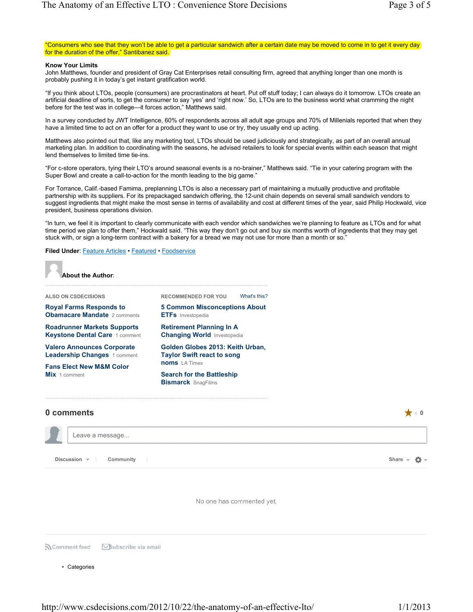"Consumers who see that they won't be able to get a particular sandwich after a certain date may be moved to come in to get it every day for the duration of the offer," Santibanez said.

#### **Know Your Limits**

John Matthews, founder and president of Gray Cat Enterprises retail consulting firm, agreed that anything longer than one month is probably pushing it in today's get instant gratification world.

"If you think about LTOs, people (consumers) are procrastinators at heart. Put off stuff today; I can always do it tomorrow. LTOs create an artificial deadline of sorts, to get the consumer to say 'yes' and 'right now.' So, LTOs are to the business world what cramming the night before for the test was in college—it forces action," Matthews said.

In a survey conducted by JWT Intelligence, 60% of respondents across all adult age groups and 70% of Millenials reported that when they have a limited time to act on an offer for a product they want to use or try, they usually end up acting.

Matthews also pointed out that, like any marketing tool, LTOs should be used judiciously and strategically, as part of an overall annual marketing plan. In addition to coordinating with the seasons, he advised retailers to look for special events within each season that might lend themselves to limited time tie-ins.

"For c-store operators, tying their LTO's around seasonal events is a no-brainer," Matthews said. "Tie in your catering program with the Super Bowl and create a call-to-action for the month leading to the big game."

For Torrance, Calif.-based Famima, preplanning LTOs is also a necessary part of maintaining a mutually productive and profitable partnership with its suppliers. For its prepackaged sandwich offering, the 12-unit chain depends on several small sandwich vendors to suggest ingredients that might make the most sense in terms of availability and cost at different times of the year, said Philip Hockwald, vice president, business operations division.

"In turn, we feel it is important to clearly communicate with each vendor which sandwiches we're planning to feature as LTOs and for what time period we plan to offer them," Hockwald said. "This way they don't go out and buy six months worth of ingredients that they may get stuck with, or sign a long-term contract with a bakery for a bread we may not use for more than a month or so."

#### **Filed Under: Feature Articles · Featured · Foodservice**



**About the Author**:

| ALSO ON CSDECISIONS                                                      | What's this?<br><b>RECOMMENDED FOR YOU</b>                            |  |  |
|--------------------------------------------------------------------------|-----------------------------------------------------------------------|--|--|
| <b>Royal Farms Responds to</b><br><b>Obamacare Mandate</b> 2 comments    | <b>5 Common Misconceptions About</b><br><b>ETFs</b> Investopedia      |  |  |
| <b>Roadrunner Markets Supports</b><br>Keystone Dental Care 1 comment     | <b>Retirement Planning In A</b><br><b>Changing World Investopedia</b> |  |  |
| <b>Valero Announces Corporate</b><br><b>Leadership Changes 1 comment</b> | Golden Globes 2013: Keith Urban,<br><b>Taylor Swift react to song</b> |  |  |
| <b>Fans Elect New M&amp;M Color</b>                                      | <b>noms</b> LA Times                                                  |  |  |
| <b>Mix</b> 1 comment                                                     | <b>Search for the Battleship</b>                                      |  |  |
|                                                                          | <b>Bismarck SnagFilms</b>                                             |  |  |

# **0 comments** ★ **0** Leave a message... **Discussion Community Share** # No one has commented yet.

SComment feed Subscribe via email

• Categories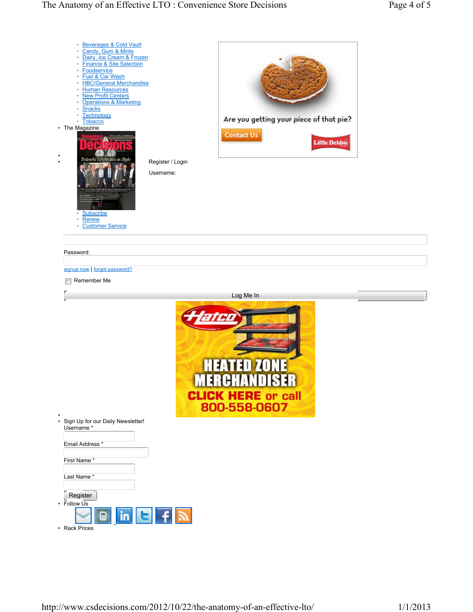| · Beverages & Cold Vault<br>Candy, Gum & Mints<br>$\circ$<br>Dairy, Ice Cream & Frozen<br>$\circ$<br><b>Finance &amp; Site Selection</b><br>$\circ$<br>Foodservice<br>۰<br>Fuel & Car Wash<br>$\circ$<br><b>HBC/General Merchandise</b><br>۰<br><b>Human Resources</b><br>$\circ$<br><b>New Profit Centers</b><br>$\circ$<br><b>Operations &amp; Marketing</b><br>$\circ$<br><b>Snacks</b><br>$\circ$<br>Technology<br>$\circ$<br><b>Tobacco</b><br>$\circ$<br>• The Magazine<br>Tedeschi Celebrates in Style<br>Subscribe<br>$\circ$<br><b>Renew</b><br>$\circ$<br><b>Customer Service</b><br>$\circ$ | Register / Login<br>Username: | Are you getting your piece of that pie?<br><b>Contact Us</b> | <b>Little Debbie</b> |  |
|--------------------------------------------------------------------------------------------------------------------------------------------------------------------------------------------------------------------------------------------------------------------------------------------------------------------------------------------------------------------------------------------------------------------------------------------------------------------------------------------------------------------------------------------------------------------------------------------------------|-------------------------------|--------------------------------------------------------------|----------------------|--|
| Password:                                                                                                                                                                                                                                                                                                                                                                                                                                                                                                                                                                                              |                               |                                                              |                      |  |
| signup now   forgot password?                                                                                                                                                                                                                                                                                                                                                                                                                                                                                                                                                                          |                               |                                                              |                      |  |
| Remember Me                                                                                                                                                                                                                                                                                                                                                                                                                                                                                                                                                                                            |                               |                                                              |                      |  |
|                                                                                                                                                                                                                                                                                                                                                                                                                                                                                                                                                                                                        |                               | Log Me In                                                    |                      |  |
| н<br><b>CLICK HERE or call</b><br>800-558-0607                                                                                                                                                                                                                                                                                                                                                                                                                                                                                                                                                         |                               |                                                              |                      |  |
| • Sign Up for our Daily Newsletter!<br>Username*<br>Email Address *                                                                                                                                                                                                                                                                                                                                                                                                                                                                                                                                    |                               |                                                              |                      |  |
| First Name*                                                                                                                                                                                                                                                                                                                                                                                                                                                                                                                                                                                            |                               |                                                              |                      |  |
| Last Name*<br>Register                                                                                                                                                                                                                                                                                                                                                                                                                                                                                                                                                                                 |                               |                                                              |                      |  |
| $\cdot$ Follow $\overline{Us}$<br>$\blacksquare$ in $\blacksquare$ $\top$ $\blacksquare$<br>• Rack Prices                                                                                                                                                                                                                                                                                                                                                                                                                                                                                              |                               |                                                              |                      |  |